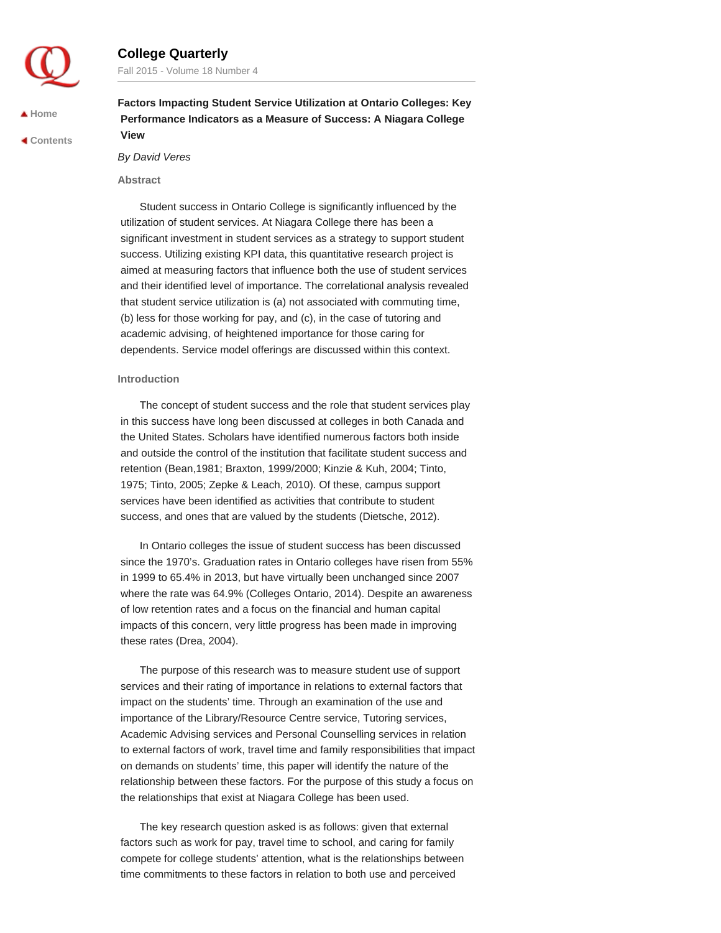

# **College Quarterly**

Fall 2015 - Volume 18 Number 4

**[Home](http://collegequarterly.ca/index.html)**

 **[Contents](http://collegequarterly.ca/2015-vol18-num04-fall/index.html)**

**Factors Impacting Student Service Utilization at Ontario Colleges: Key Performance Indicators as a Measure of Success: A Niagara College View**

*By David Veres*

## **Abstract**

Student success in Ontario College is significantly influenced by the utilization of student services. At Niagara College there has been a significant investment in student services as a strategy to support student success. Utilizing existing KPI data, this quantitative research project is aimed at measuring factors that influence both the use of student services and their identified level of importance. The correlational analysis revealed that student service utilization is (a) not associated with commuting time, (b) less for those working for pay, and (c), in the case of tutoring and academic advising, of heightened importance for those caring for dependents. Service model offerings are discussed within this context.

## **Introduction**

The concept of student success and the role that student services play in this success have long been discussed at colleges in both Canada and the United States. Scholars have identified numerous factors both inside and outside the control of the institution that facilitate student success and retention (Bean,1981; Braxton, 1999/2000; Kinzie & Kuh, 2004; Tinto, 1975; Tinto, 2005; Zepke & Leach, 2010). Of these, campus support services have been identified as activities that contribute to student success, and ones that are valued by the students (Dietsche, 2012).

In Ontario colleges the issue of student success has been discussed since the 1970's. Graduation rates in Ontario colleges have risen from 55% in 1999 to 65.4% in 2013, but have virtually been unchanged since 2007 where the rate was 64.9% (Colleges Ontario, 2014). Despite an awareness of low retention rates and a focus on the financial and human capital impacts of this concern, very little progress has been made in improving these rates (Drea, 2004).

The purpose of this research was to measure student use of support services and their rating of importance in relations to external factors that impact on the students' time. Through an examination of the use and importance of the Library/Resource Centre service, Tutoring services, Academic Advising services and Personal Counselling services in relation to external factors of work, travel time and family responsibilities that impact on demands on students' time, this paper will identify the nature of the relationship between these factors. For the purpose of this study a focus on the relationships that exist at Niagara College has been used.

The key research question asked is as follows: given that external factors such as work for pay, travel time to school, and caring for family compete for college students' attention, what is the relationships between time commitments to these factors in relation to both use and perceived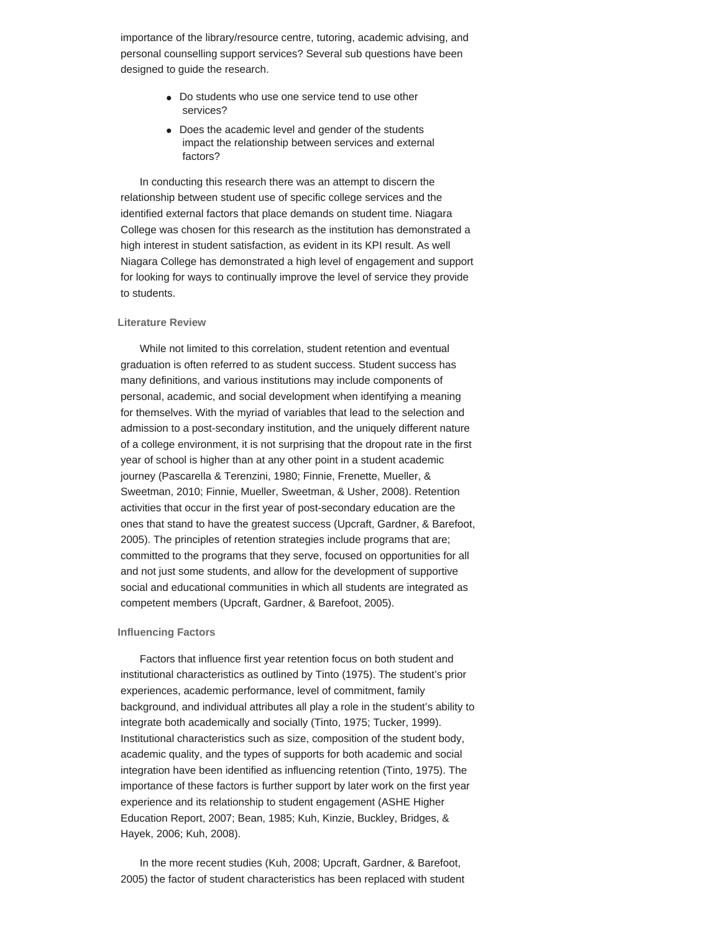importance of the library/resource centre, tutoring, academic advising, and personal counselling support services? Several sub questions have been designed to guide the research.

- Do students who use one service tend to use other services?
- Does the academic level and gender of the students impact the relationship between services and external factors?

In conducting this research there was an attempt to discern the relationship between student use of specific college services and the identified external factors that place demands on student time. Niagara College was chosen for this research as the institution has demonstrated a high interest in student satisfaction, as evident in its KPI result. As well Niagara College has demonstrated a high level of engagement and support for looking for ways to continually improve the level of service they provide to students.

## **Literature Review**

While not limited to this correlation, student retention and eventual graduation is often referred to as student success. Student success has many definitions, and various institutions may include components of personal, academic, and social development when identifying a meaning for themselves. With the myriad of variables that lead to the selection and admission to a post-secondary institution, and the uniquely different nature of a college environment, it is not surprising that the dropout rate in the first year of school is higher than at any other point in a student academic journey (Pascarella & Terenzini, 1980; Finnie, Frenette, Mueller, & Sweetman, 2010; Finnie, Mueller, Sweetman, & Usher, 2008). Retention activities that occur in the first year of post-secondary education are the ones that stand to have the greatest success (Upcraft, Gardner, & Barefoot, 2005). The principles of retention strategies include programs that are; committed to the programs that they serve, focused on opportunities for all and not just some students, and allow for the development of supportive social and educational communities in which all students are integrated as competent members (Upcraft, Gardner, & Barefoot, 2005).

## **Influencing Factors**

Factors that influence first year retention focus on both student and institutional characteristics as outlined by Tinto (1975). The student's prior experiences, academic performance, level of commitment, family background, and individual attributes all play a role in the student's ability to integrate both academically and socially (Tinto, 1975; Tucker, 1999). Institutional characteristics such as size, composition of the student body, academic quality, and the types of supports for both academic and social integration have been identified as influencing retention (Tinto, 1975). The importance of these factors is further support by later work on the first year experience and its relationship to student engagement (ASHE Higher Education Report, 2007; Bean, 1985; Kuh, Kinzie, Buckley, Bridges, & Hayek, 2006; Kuh, 2008).

In the more recent studies (Kuh, 2008; Upcraft, Gardner, & Barefoot, 2005) the factor of student characteristics has been replaced with student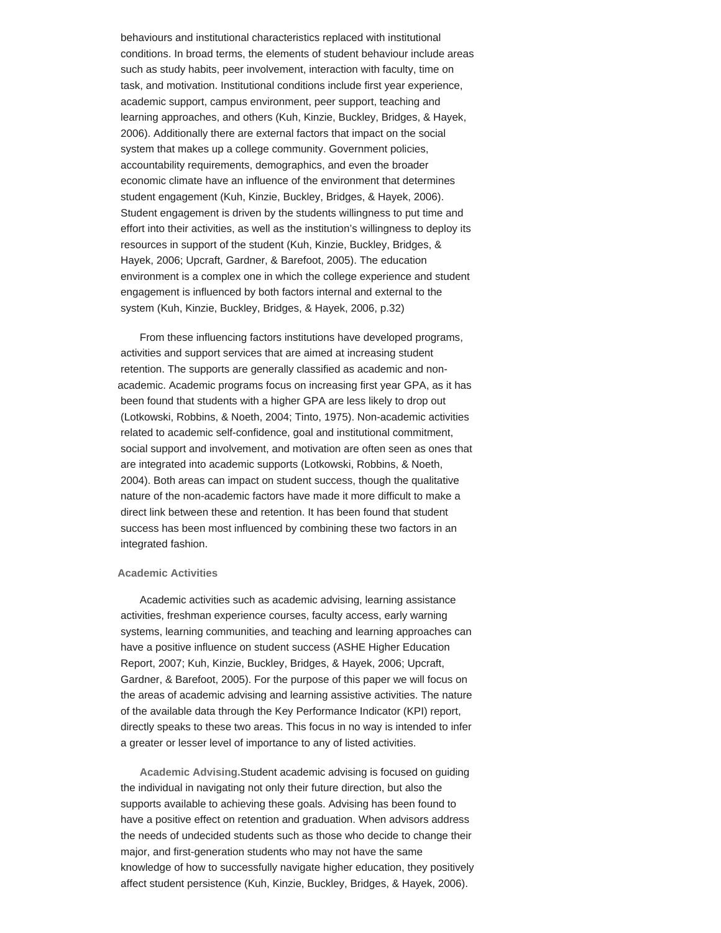behaviours and institutional characteristics replaced with institutional conditions. In broad terms, the elements of student behaviour include areas such as study habits, peer involvement, interaction with faculty, time on task, and motivation. Institutional conditions include first year experience, academic support, campus environment, peer support, teaching and learning approaches, and others (Kuh, Kinzie, Buckley, Bridges, & Hayek, 2006). Additionally there are external factors that impact on the social system that makes up a college community. Government policies, accountability requirements, demographics, and even the broader economic climate have an influence of the environment that determines student engagement (Kuh, Kinzie, Buckley, Bridges, & Hayek, 2006). Student engagement is driven by the students willingness to put time and effort into their activities, as well as the institution's willingness to deploy its resources in support of the student (Kuh, Kinzie, Buckley, Bridges, & Hayek, 2006; Upcraft, Gardner, & Barefoot, 2005). The education environment is a complex one in which the college experience and student engagement is influenced by both factors internal and external to the system (Kuh, Kinzie, Buckley, Bridges, & Hayek, 2006, p.32)

From these influencing factors institutions have developed programs, activities and support services that are aimed at increasing student retention. The supports are generally classified as academic and nonacademic. Academic programs focus on increasing first year GPA, as it has been found that students with a higher GPA are less likely to drop out (Lotkowski, Robbins, & Noeth, 2004; Tinto, 1975). Non-academic activities related to academic self-confidence, goal and institutional commitment, social support and involvement, and motivation are often seen as ones that are integrated into academic supports (Lotkowski, Robbins, & Noeth, 2004). Both areas can impact on student success, though the qualitative nature of the non-academic factors have made it more difficult to make a direct link between these and retention. It has been found that student success has been most influenced by combining these two factors in an integrated fashion.

## **Academic Activities**

Academic activities such as academic advising, learning assistance activities, freshman experience courses, faculty access, early warning systems, learning communities, and teaching and learning approaches can have a positive influence on student success (ASHE Higher Education Report, 2007; Kuh, Kinzie, Buckley, Bridges, & Hayek, 2006; Upcraft, Gardner, & Barefoot, 2005). For the purpose of this paper we will focus on the areas of academic advising and learning assistive activities. The nature of the available data through the Key Performance Indicator (KPI) report, directly speaks to these two areas. This focus in no way is intended to infer a greater or lesser level of importance to any of listed activities.

**Academic Advising.**Student academic advising is focused on guiding the individual in navigating not only their future direction, but also the supports available to achieving these goals. Advising has been found to have a positive effect on retention and graduation. When advisors address the needs of undecided students such as those who decide to change their major, and first-generation students who may not have the same knowledge of how to successfully navigate higher education, they positively affect student persistence (Kuh, Kinzie, Buckley, Bridges, & Hayek, 2006).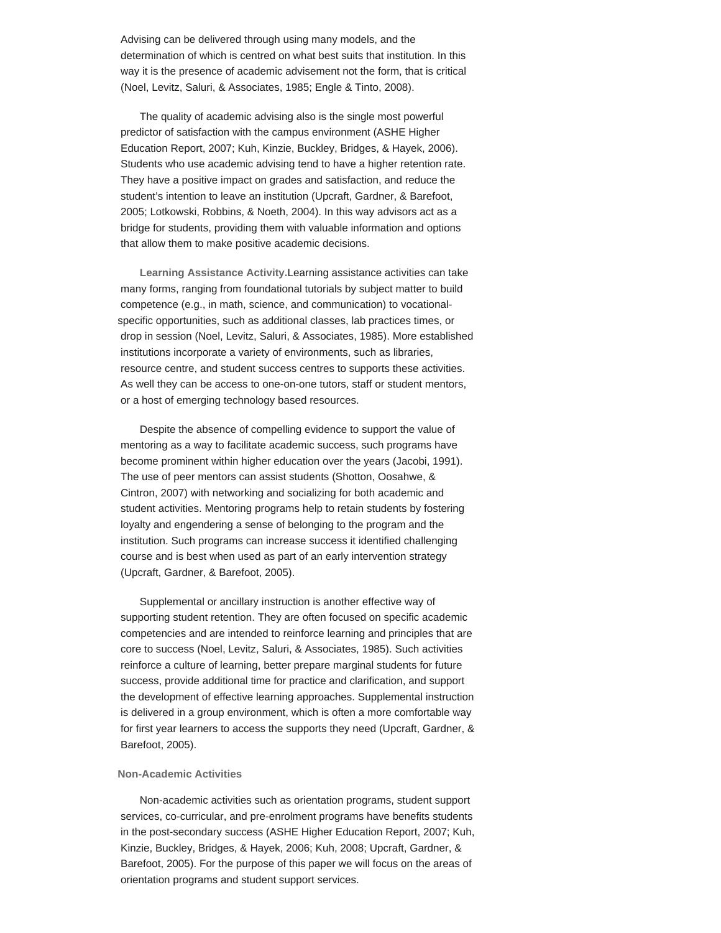Advising can be delivered through using many models, and the determination of which is centred on what best suits that institution. In this way it is the presence of academic advisement not the form, that is critical (Noel, Levitz, Saluri, & Associates, 1985; Engle & Tinto, 2008).

The quality of academic advising also is the single most powerful predictor of satisfaction with the campus environment (ASHE Higher Education Report, 2007; Kuh, Kinzie, Buckley, Bridges, & Hayek, 2006). Students who use academic advising tend to have a higher retention rate. They have a positive impact on grades and satisfaction, and reduce the student's intention to leave an institution (Upcraft, Gardner, & Barefoot, 2005; Lotkowski, Robbins, & Noeth, 2004). In this way advisors act as a bridge for students, providing them with valuable information and options that allow them to make positive academic decisions.

**Learning Assistance Activity.**Learning assistance activities can take many forms, ranging from foundational tutorials by subject matter to build competence (e.g., in math, science, and communication) to vocationalspecific opportunities, such as additional classes, lab practices times, or drop in session (Noel, Levitz, Saluri, & Associates, 1985). More established institutions incorporate a variety of environments, such as libraries, resource centre, and student success centres to supports these activities. As well they can be access to one-on-one tutors, staff or student mentors, or a host of emerging technology based resources.

Despite the absence of compelling evidence to support the value of mentoring as a way to facilitate academic success, such programs have become prominent within higher education over the years (Jacobi, 1991). The use of peer mentors can assist students (Shotton, Oosahwe, & Cintron, 2007) with networking and socializing for both academic and student activities. Mentoring programs help to retain students by fostering loyalty and engendering a sense of belonging to the program and the institution. Such programs can increase success it identified challenging course and is best when used as part of an early intervention strategy (Upcraft, Gardner, & Barefoot, 2005).

Supplemental or ancillary instruction is another effective way of supporting student retention. They are often focused on specific academic competencies and are intended to reinforce learning and principles that are core to success (Noel, Levitz, Saluri, & Associates, 1985). Such activities reinforce a culture of learning, better prepare marginal students for future success, provide additional time for practice and clarification, and support the development of effective learning approaches. Supplemental instruction is delivered in a group environment, which is often a more comfortable way for first year learners to access the supports they need (Upcraft, Gardner, & Barefoot, 2005).

#### **Non-Academic Activities**

Non-academic activities such as orientation programs, student support services, co-curricular, and pre-enrolment programs have benefits students in the post-secondary success (ASHE Higher Education Report, 2007; Kuh, Kinzie, Buckley, Bridges, & Hayek, 2006; Kuh, 2008; Upcraft, Gardner, & Barefoot, 2005). For the purpose of this paper we will focus on the areas of orientation programs and student support services.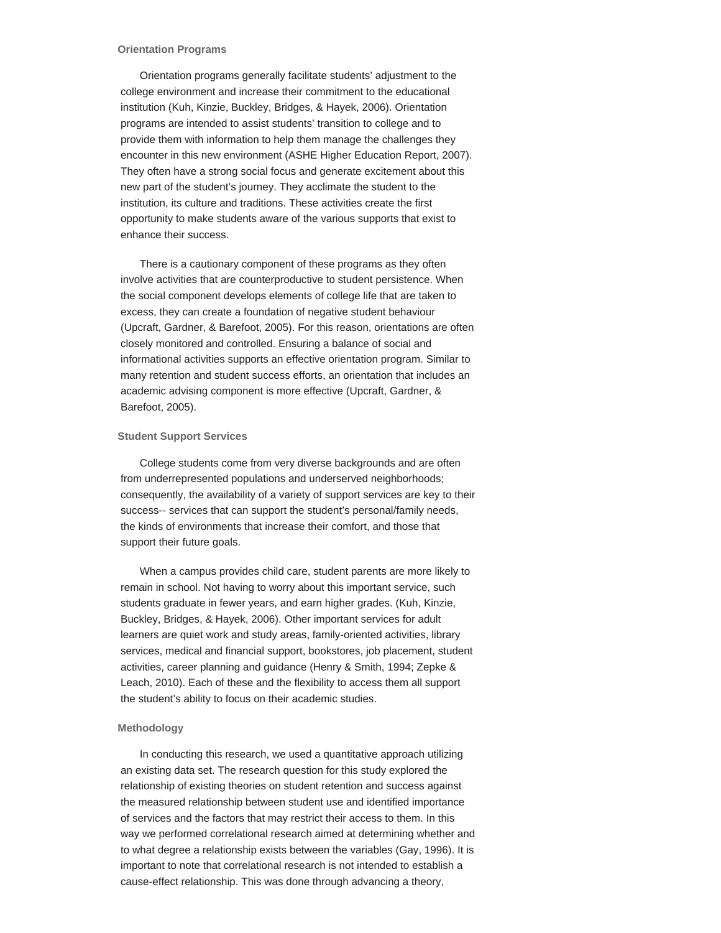#### **Orientation Programs**

Orientation programs generally facilitate students' adjustment to the college environment and increase their commitment to the educational institution (Kuh, Kinzie, Buckley, Bridges, & Hayek, 2006). Orientation programs are intended to assist students' transition to college and to provide them with information to help them manage the challenges they encounter in this new environment (ASHE Higher Education Report, 2007). They often have a strong social focus and generate excitement about this new part of the student's journey. They acclimate the student to the institution, its culture and traditions. These activities create the first opportunity to make students aware of the various supports that exist to enhance their success.

There is a cautionary component of these programs as they often involve activities that are counterproductive to student persistence. When the social component develops elements of college life that are taken to excess, they can create a foundation of negative student behaviour (Upcraft, Gardner, & Barefoot, 2005). For this reason, orientations are often closely monitored and controlled. Ensuring a balance of social and informational activities supports an effective orientation program. Similar to many retention and student success efforts, an orientation that includes an academic advising component is more effective (Upcraft, Gardner, & Barefoot, 2005).

## **Student Support Services**

College students come from very diverse backgrounds and are often from underrepresented populations and underserved neighborhoods; consequently, the availability of a variety of support services are key to their success-- services that can support the student's personal/family needs, the kinds of environments that increase their comfort, and those that support their future goals.

When a campus provides child care, student parents are more likely to remain in school. Not having to worry about this important service, such students graduate in fewer years, and earn higher grades. (Kuh, Kinzie, Buckley, Bridges, & Hayek, 2006). Other important services for adult learners are quiet work and study areas, family-oriented activities, library services, medical and financial support, bookstores, job placement, student activities, career planning and guidance (Henry & Smith, 1994; Zepke & Leach, 2010). Each of these and the flexibility to access them all support the student's ability to focus on their academic studies.

# **Methodology**

In conducting this research, we used a quantitative approach utilizing an existing data set. The research question for this study explored the relationship of existing theories on student retention and success against the measured relationship between student use and identified importance of services and the factors that may restrict their access to them. In this way we performed correlational research aimed at determining whether and to what degree a relationship exists between the variables (Gay, 1996). It is important to note that correlational research is not intended to establish a cause-effect relationship. This was done through advancing a theory,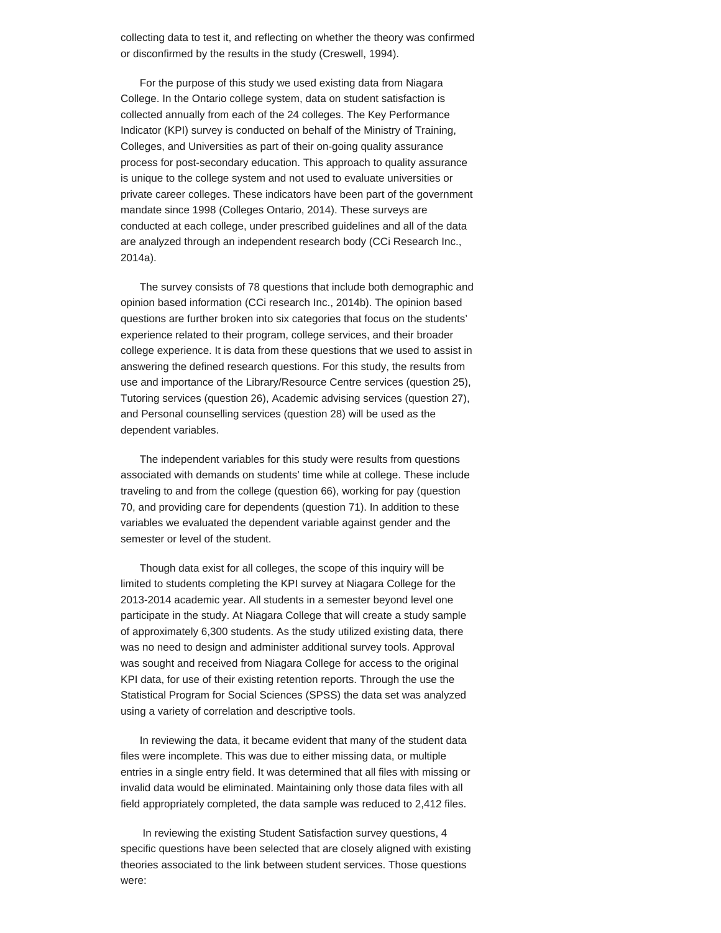collecting data to test it, and reflecting on whether the theory was confirmed or disconfirmed by the results in the study (Creswell, 1994).

For the purpose of this study we used existing data from Niagara College. In the Ontario college system, data on student satisfaction is collected annually from each of the 24 colleges. The Key Performance Indicator (KPI) survey is conducted on behalf of the Ministry of Training, Colleges, and Universities as part of their on-going quality assurance process for post-secondary education. This approach to quality assurance is unique to the college system and not used to evaluate universities or private career colleges. These indicators have been part of the government mandate since 1998 (Colleges Ontario, 2014). These surveys are conducted at each college, under prescribed guidelines and all of the data are analyzed through an independent research body (CCi Research Inc., 2014a).

The survey consists of 78 questions that include both demographic and opinion based information (CCi research Inc., 2014b). The opinion based questions are further broken into six categories that focus on the students' experience related to their program, college services, and their broader college experience. It is data from these questions that we used to assist in answering the defined research questions. For this study, the results from use and importance of the Library/Resource Centre services (question 25), Tutoring services (question 26), Academic advising services (question 27), and Personal counselling services (question 28) will be used as the dependent variables.

The independent variables for this study were results from questions associated with demands on students' time while at college. These include traveling to and from the college (question 66), working for pay (question 70, and providing care for dependents (question 71). In addition to these variables we evaluated the dependent variable against gender and the semester or level of the student.

Though data exist for all colleges, the scope of this inquiry will be limited to students completing the KPI survey at Niagara College for the 2013-2014 academic year. All students in a semester beyond level one participate in the study. At Niagara College that will create a study sample of approximately 6,300 students. As the study utilized existing data, there was no need to design and administer additional survey tools. Approval was sought and received from Niagara College for access to the original KPI data, for use of their existing retention reports. Through the use the Statistical Program for Social Sciences (SPSS) the data set was analyzed using a variety of correlation and descriptive tools.

In reviewing the data, it became evident that many of the student data files were incomplete. This was due to either missing data, or multiple entries in a single entry field. It was determined that all files with missing or invalid data would be eliminated. Maintaining only those data files with all field appropriately completed, the data sample was reduced to 2,412 files.

In reviewing the existing Student Satisfaction survey questions, 4 specific questions have been selected that are closely aligned with existing theories associated to the link between student services. Those questions were: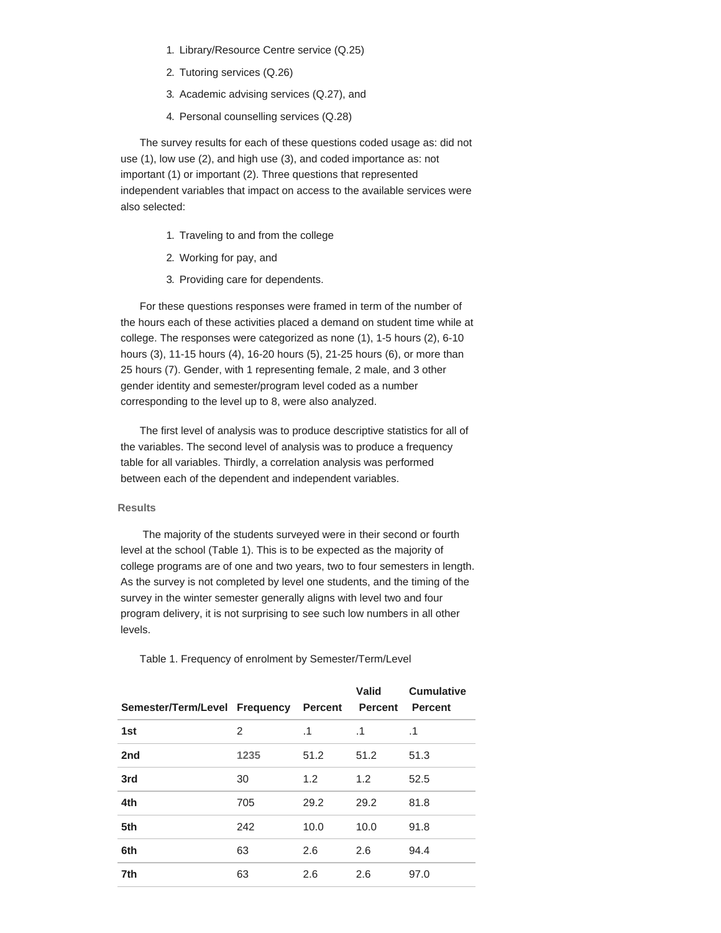- 1. Library/Resource Centre service (Q.25)
- 2. Tutoring services (Q.26)
- 3. Academic advising services (Q.27), and
- 4. Personal counselling services (Q.28)

The survey results for each of these questions coded usage as: did not use (1), low use (2), and high use (3), and coded importance as: not important (1) or important (2). Three questions that represented independent variables that impact on access to the available services were also selected:

- 1. Traveling to and from the college
- 2. Working for pay, and
- 3. Providing care for dependents.

For these questions responses were framed in term of the number of the hours each of these activities placed a demand on student time while at college. The responses were categorized as none (1), 1-5 hours (2), 6-10 hours (3), 11-15 hours (4), 16-20 hours (5), 21-25 hours (6), or more than 25 hours (7). Gender, with 1 representing female, 2 male, and 3 other gender identity and semester/program level coded as a number corresponding to the level up to 8, were also analyzed.

The first level of analysis was to produce descriptive statistics for all of the variables. The second level of analysis was to produce a frequency table for all variables. Thirdly, a correlation analysis was performed between each of the dependent and independent variables.

## **Results**

The majority of the students surveyed were in their second or fourth level at the school (Table 1). This is to be expected as the majority of college programs are of one and two years, two to four semesters in length. As the survey is not completed by level one students, and the timing of the survey in the winter semester generally aligns with level two and four program delivery, it is not surprising to see such low numbers in all other levels.

Table 1. Frequency of enrolment by Semester/Term/Level

| Semester/Term/Level Frequency Percent |                |           | Valid<br><b>Percent</b> | <b>Cumulative</b><br><b>Percent</b> |
|---------------------------------------|----------------|-----------|-------------------------|-------------------------------------|
| 1st                                   | $\overline{2}$ | $\cdot$ 1 | $\cdot$ 1               | .1                                  |
| 2 <sub>nd</sub>                       | 1235           | 51.2      | 51.2                    | 51.3                                |
| 3rd                                   | 30             | 1.2       | 1.2                     | 52.5                                |
| 4th                                   | 705            | 29.2      | 29.2                    | 81.8                                |
| 5th                                   | 242            | 10.0      | 10.0                    | 91.8                                |
| 6th                                   | 63             | 2.6       | 2.6                     | 94.4                                |
| 7th                                   | 63             | 2.6       | 2.6                     | 97.0                                |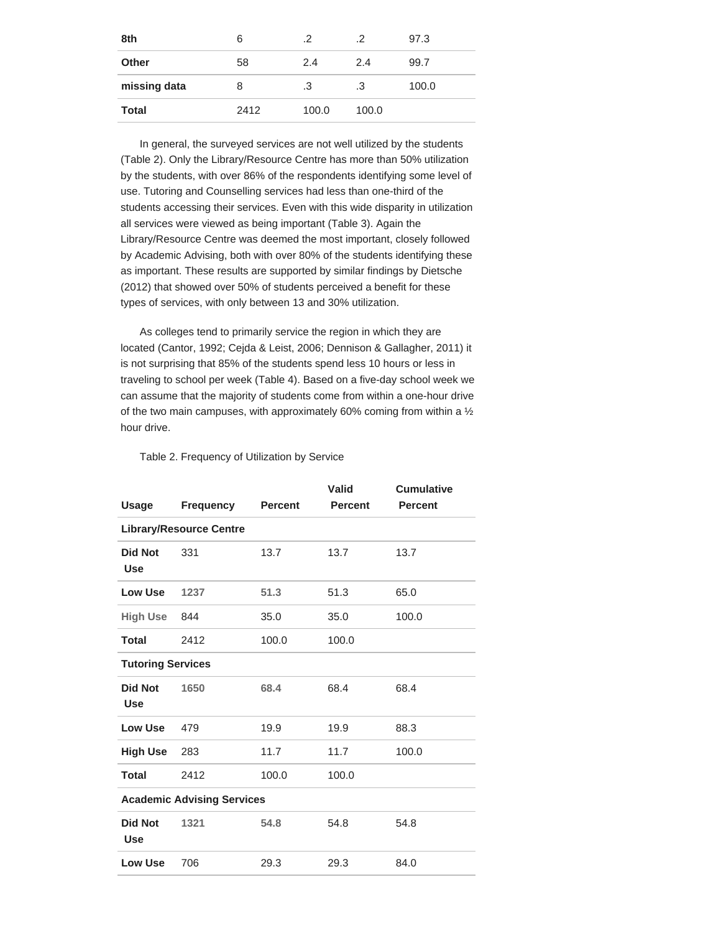| 8th          | 6    | $\cdot$ .2 |       | 97.3  |
|--------------|------|------------|-------|-------|
| <b>Other</b> | 58   | 2.4        | 2.4   | 99.7  |
| missing data | 8    | .3         | .3    | 100.0 |
| <b>Total</b> | 2412 | 100.0      | 100.0 |       |

In general, the surveyed services are not well utilized by the students (Table 2). Only the Library/Resource Centre has more than 50% utilization by the students, with over 86% of the respondents identifying some level of use. Tutoring and Counselling services had less than one-third of the students accessing their services. Even with this wide disparity in utilization all services were viewed as being important (Table 3). Again the Library/Resource Centre was deemed the most important, closely followed by Academic Advising, both with over 80% of the students identifying these as important. These results are supported by similar findings by Dietsche (2012) that showed over 50% of students perceived a benefit for these types of services, with only between 13 and 30% utilization.

As colleges tend to primarily service the region in which they are located (Cantor, 1992; Cejda & Leist, 2006; Dennison & Gallagher, 2011) it is not surprising that 85% of the students spend less 10 hours or less in traveling to school per week (Table 4). Based on a five-day school week we can assume that the majority of students come from within a one-hour drive of the two main campuses, with approximately 60% coming from within a ½ hour drive.

Table 2. Frequency of Utilization by Service

|                              |                                   |                | Valid          | <b>Cumulative</b> |  |  |  |  |
|------------------------------|-----------------------------------|----------------|----------------|-------------------|--|--|--|--|
| Usage                        | <b>Frequency</b>                  | <b>Percent</b> | <b>Percent</b> | <b>Percent</b>    |  |  |  |  |
|                              | <b>Library/Resource Centre</b>    |                |                |                   |  |  |  |  |
| <b>Did Not</b><br><b>Use</b> | 331                               | 13.7           | 13.7           | 13.7              |  |  |  |  |
| <b>Low Use</b>               | 1237                              | 51.3           | 51.3           | 65.0              |  |  |  |  |
| <b>High Use</b>              | 844                               | 35.0           | 35.0           | 100.0             |  |  |  |  |
| Total                        | 2412                              | 100.0          | 100.0          |                   |  |  |  |  |
| <b>Tutoring Services</b>     |                                   |                |                |                   |  |  |  |  |
| <b>Did Not</b><br><b>Use</b> | 1650                              | 68.4           | 68.4           | 68.4              |  |  |  |  |
| <b>Low Use</b>               | 479                               | 19.9           | 19.9           | 88.3              |  |  |  |  |
| <b>High Use</b>              | 283                               | 11.7           | 11.7           | 100.0             |  |  |  |  |
| <b>Total</b>                 | 2412                              | 100.0          | 100.0          |                   |  |  |  |  |
|                              | <b>Academic Advising Services</b> |                |                |                   |  |  |  |  |
| <b>Did Not</b><br><b>Use</b> | 1321                              | 54.8           | 54.8           | 54.8              |  |  |  |  |
| <b>Low Use</b>               | 706                               | 29.3           | 29.3           | 84.0              |  |  |  |  |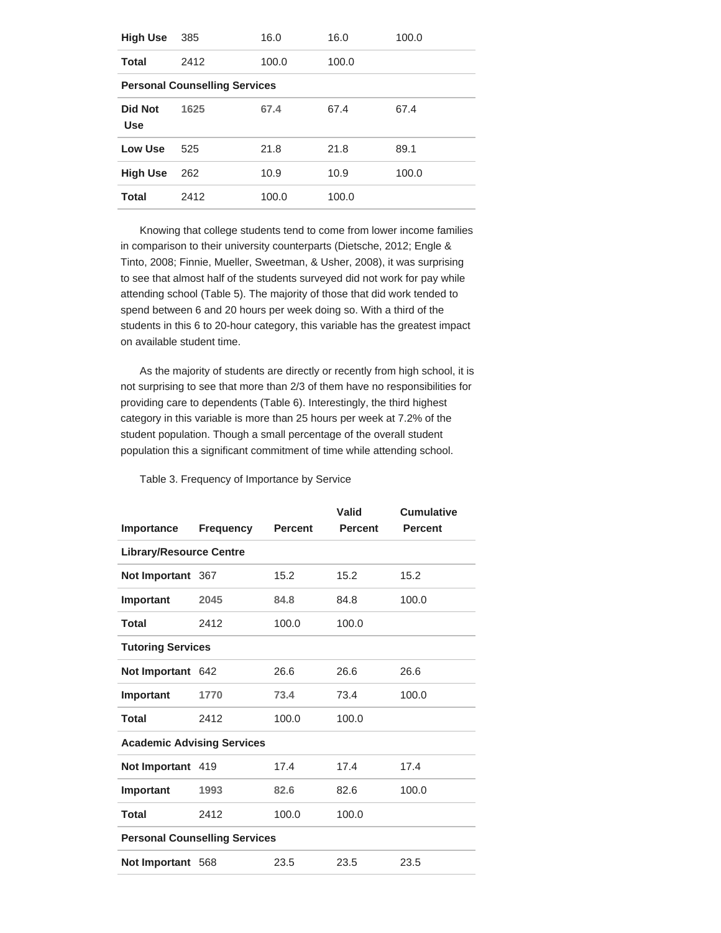| <b>High Use</b>              | 385                                  | 16.0  | 16.0  | 100.0 |
|------------------------------|--------------------------------------|-------|-------|-------|
| Total                        | 2412                                 | 100.0 | 100.0 |       |
|                              | <b>Personal Counselling Services</b> |       |       |       |
| <b>Did Not</b><br><b>Use</b> | 1625                                 | 67.4  | 67.4  | 67.4  |
| Low Use                      | 525                                  | 21.8  | 21.8  | 89.1  |
| <b>High Use</b>              | 262                                  | 10.9  | 10.9  | 100.0 |
| Total                        | 2412                                 | 100.0 | 100.0 |       |

Knowing that college students tend to come from lower income families in comparison to their university counterparts (Dietsche, 2012; Engle & Tinto, 2008; Finnie, Mueller, Sweetman, & Usher, 2008), it was surprising to see that almost half of the students surveyed did not work for pay while attending school (Table 5). The majority of those that did work tended to spend between 6 and 20 hours per week doing so. With a third of the students in this 6 to 20-hour category, this variable has the greatest impact on available student time.

As the majority of students are directly or recently from high school, it is not surprising to see that more than 2/3 of them have no responsibilities for providing care to dependents (Table 6). Interestingly, the third highest category in this variable is more than 25 hours per week at 7.2% of the student population. Though a small percentage of the overall student population this a significant commitment of time while attending school.

Table 3. Frequency of Importance by Service

|                                   |                                      |                | Valid          | <b>Cumulative</b> |  |  |  |  |  |
|-----------------------------------|--------------------------------------|----------------|----------------|-------------------|--|--|--|--|--|
| Importance                        | Frequency                            | <b>Percent</b> | <b>Percent</b> | <b>Percent</b>    |  |  |  |  |  |
|                                   | <b>Library/Resource Centre</b>       |                |                |                   |  |  |  |  |  |
| Not Important 367                 |                                      | 15.2           | 15.2           | 15.2              |  |  |  |  |  |
| Important                         | 2045                                 | 84.8           | 84.8           | 100.0             |  |  |  |  |  |
| Total                             | 2412                                 | 100.0          | 100.0          |                   |  |  |  |  |  |
| <b>Tutoring Services</b>          |                                      |                |                |                   |  |  |  |  |  |
| Not Important 642                 |                                      | 26.6           | 26.6           | 26.6              |  |  |  |  |  |
| Important                         | 1770                                 | 73.4           | 73.4           | 100.0             |  |  |  |  |  |
| <b>Total</b>                      | 2412                                 | 100.0          | 100.0          |                   |  |  |  |  |  |
| <b>Academic Advising Services</b> |                                      |                |                |                   |  |  |  |  |  |
| Not Important 419                 |                                      | 17.4           | 17.4           | 17.4              |  |  |  |  |  |
| Important                         | 1993                                 | 82.6           | 82.6           | 100.0             |  |  |  |  |  |
| <b>Total</b>                      | 2412                                 | 100.0          | 100.0          |                   |  |  |  |  |  |
|                                   | <b>Personal Counselling Services</b> |                |                |                   |  |  |  |  |  |
| Not Important 568                 |                                      | 23.5           | 23.5           | 23.5              |  |  |  |  |  |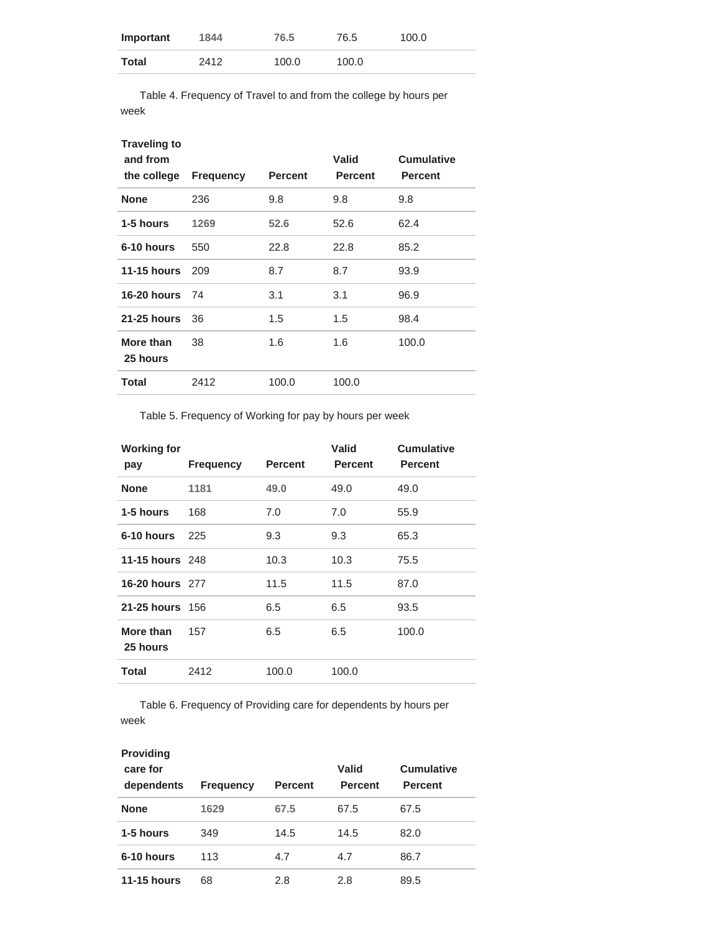| Important | 1844 | 76.5  | 76.5  | 100.0 |
|-----------|------|-------|-------|-------|
| Total     | 2412 | 100.0 | 100.0 |       |

Table 4. Frequency of Travel to and from the college by hours per week

| <b>Traveling to</b><br>and from<br>the college | <b>Frequency</b> | <b>Percent</b> | Valid<br><b>Percent</b> | <b>Cumulative</b><br><b>Percent</b> |
|------------------------------------------------|------------------|----------------|-------------------------|-------------------------------------|
| <b>None</b>                                    | 236              | 9.8            | 9.8                     | 9.8                                 |
| 1-5 hours                                      | 1269             | 52.6           | 52.6                    | 62.4                                |
| 6-10 hours                                     | 550              | 22.8           | 22.8                    | 85.2                                |
| 11-15 hours                                    | 209              | 8.7            | 8.7                     | 93.9                                |
| <b>16-20 hours</b>                             | 74               | 3.1            | 3.1                     | 96.9                                |
| <b>21-25 hours</b>                             | 36               | 1.5            | 1.5                     | 98.4                                |
| More than<br>25 hours                          | 38               | 1.6            | 1.6                     | 100.0                               |
| Total                                          | 2412             | 100.0          | 100.0                   |                                     |
|                                                |                  |                |                         |                                     |

Table 5. Frequency of Working for pay by hours per week

| <b>Working for</b><br>pay | <b>Frequency</b> | <b>Percent</b> | Valid<br><b>Percent</b> | <b>Cumulative</b><br><b>Percent</b> |
|---------------------------|------------------|----------------|-------------------------|-------------------------------------|
| <b>None</b>               | 1181             | 49.0           | 49.0                    | 49.0                                |
| 1-5 hours                 | 168              | 7.0            | 7.0                     | 55.9                                |
| 6-10 hours                | 225              | 9.3            | 9.3                     | 65.3                                |
| <b>11-15 hours</b> 248    |                  | 10.3           | 10.3                    | 75.5                                |
| 16-20 hours 277           |                  | 11.5           | 11.5                    | 87.0                                |
| 21-25 hours 156           |                  | 6.5            | 6.5                     | 93.5                                |
| More than<br>25 hours     | 157              | 6.5            | 6.5                     | 100.0                               |
| Total                     | 2412             | 100.0          | 100.0                   |                                     |

Table 6. Frequency of Providing care for dependents by hours per week

| <b>Providing</b><br>care for<br>dependents | <b>Frequency</b> | <b>Percent</b> | Valid<br><b>Percent</b> | <b>Cumulative</b><br><b>Percent</b> |
|--------------------------------------------|------------------|----------------|-------------------------|-------------------------------------|
| <b>None</b>                                | 1629             | 67.5           | 67.5                    | 67.5                                |
| 1-5 hours                                  | 349              | 14.5           | 14.5                    | 82.0                                |
| 6-10 hours                                 | 113              | 4.7            | 4.7                     | 86.7                                |
| <b>11-15 hours</b>                         | 68               | 2.8            | 2.8                     | 89.5                                |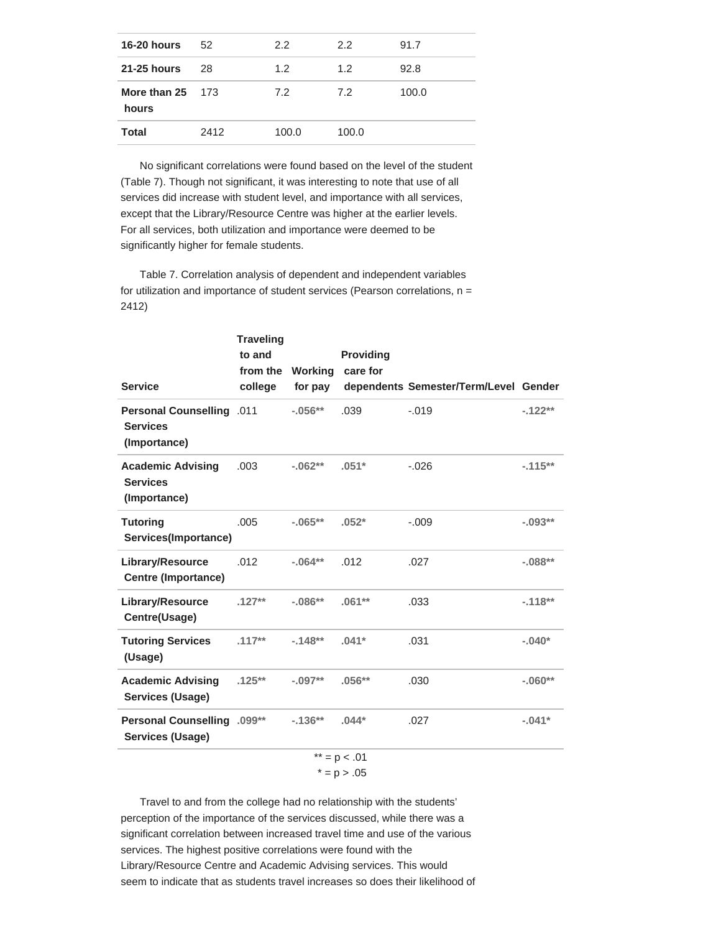| 52   | 2.2                | $2.2^{\circ}$ | 91.7  |
|------|--------------------|---------------|-------|
| 28   | 1.2                | $1.2^{\circ}$ | 92.8  |
|      | 7.2                | 7.2           | 100.0 |
| 2412 | 100.0              | 100.0         |       |
|      | More than $25$ 173 |               |       |

No significant correlations were found based on the level of the student (Table 7). Though not significant, it was interesting to note that use of all services did increase with student level, and importance with all services, except that the Library/Resource Centre was higher at the earlier levels. For all services, both utilization and importance were deemed to be significantly higher for female students.

Table 7. Correlation analysis of dependent and independent variables for utilization and importance of student services (Pearson correlations,  $n =$ 2412)

| <b>Service</b>                                                      | <b>Traveling</b><br>to and<br>from the Working<br>college | for pay    | <b>Providing</b><br>care for | dependents Semester/Term/Level Gender |           |
|---------------------------------------------------------------------|-----------------------------------------------------------|------------|------------------------------|---------------------------------------|-----------|
| <b>Personal Counselling .011</b><br><b>Services</b><br>(Importance) |                                                           | $-0.056**$ | .039                         | $-.019$                               | $-122**$  |
| <b>Academic Advising</b><br><b>Services</b><br>(Importance)         | .003                                                      | $-0.062**$ | $.051*$                      | $-.026$                               | $-.115**$ |
| <b>Tutoring</b><br>Services(Importance)                             | .005                                                      | $-.065**$  | $.052*$                      | $-.009$                               | $-.093**$ |
| Library/Resource<br><b>Centre (Importance)</b>                      | .012                                                      | $-0.064**$ | .012                         | .027                                  | $-.088**$ |
| Library/Resource<br>Centre(Usage)                                   | $.127**$                                                  | $-.086**$  | $.061**$                     | .033                                  | $-.118**$ |
| <b>Tutoring Services</b><br>(Usage)                                 | $.117**$                                                  | $-.148**$  | $.041*$                      | .031                                  | $-.040*$  |
| <b>Academic Advising</b><br><b>Services (Usage)</b>                 | $.125***$                                                 | $-.097**$  | $.056**$                     | .030                                  | $-.060**$ |
| Personal Counselling .099**<br><b>Services (Usage)</b>              |                                                           | $-136**$   | $.044*$                      | .027                                  | $-.041*$  |
|                                                                     |                                                           |            | ** = $p$ < .01               |                                       |           |

 $* = p > .05$ 

Travel to and from the college had no relationship with the students' perception of the importance of the services discussed, while there was a significant correlation between increased travel time and use of the various services. The highest positive correlations were found with the Library/Resource Centre and Academic Advising services. This would seem to indicate that as students travel increases so does their likelihood of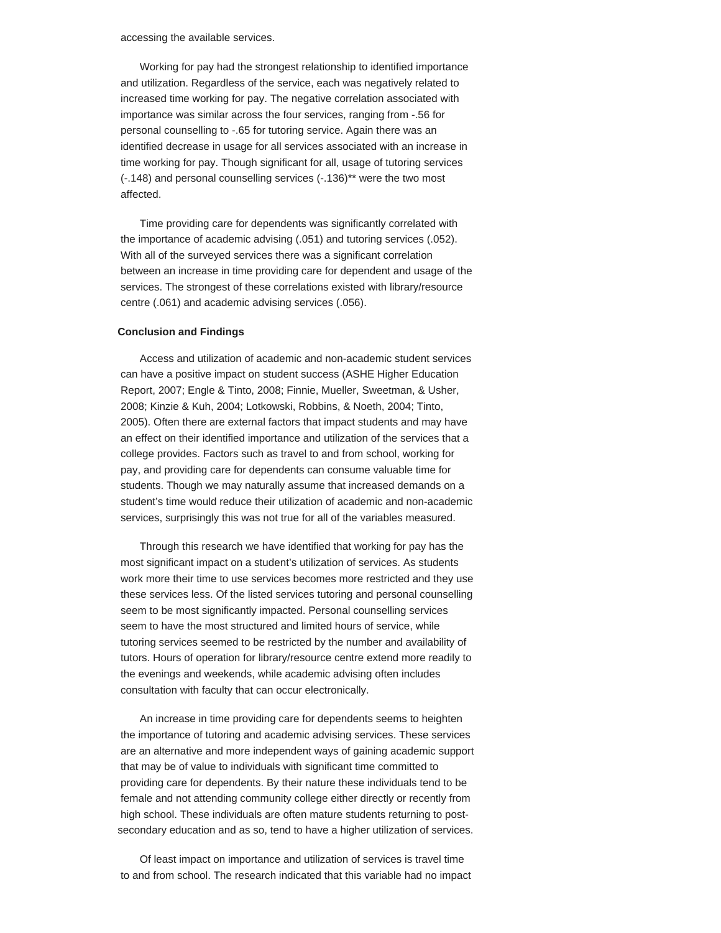accessing the available services.

Working for pay had the strongest relationship to identified importance and utilization. Regardless of the service, each was negatively related to increased time working for pay. The negative correlation associated with importance was similar across the four services, ranging from -.56 for personal counselling to -.65 for tutoring service. Again there was an identified decrease in usage for all services associated with an increase in time working for pay. Though significant for all, usage of tutoring services (-.148) and personal counselling services (-.136)\*\* were the two most affected.

Time providing care for dependents was significantly correlated with the importance of academic advising (.051) and tutoring services (.052). With all of the surveyed services there was a significant correlation between an increase in time providing care for dependent and usage of the services. The strongest of these correlations existed with library/resource centre (.061) and academic advising services (.056).

## **Conclusion and Findings**

Access and utilization of academic and non-academic student services can have a positive impact on student success (ASHE Higher Education Report, 2007; Engle & Tinto, 2008; Finnie, Mueller, Sweetman, & Usher, 2008; Kinzie & Kuh, 2004; Lotkowski, Robbins, & Noeth, 2004; Tinto, 2005). Often there are external factors that impact students and may have an effect on their identified importance and utilization of the services that a college provides. Factors such as travel to and from school, working for pay, and providing care for dependents can consume valuable time for students. Though we may naturally assume that increased demands on a student's time would reduce their utilization of academic and non-academic services, surprisingly this was not true for all of the variables measured.

Through this research we have identified that working for pay has the most significant impact on a student's utilization of services. As students work more their time to use services becomes more restricted and they use these services less. Of the listed services tutoring and personal counselling seem to be most significantly impacted. Personal counselling services seem to have the most structured and limited hours of service, while tutoring services seemed to be restricted by the number and availability of tutors. Hours of operation for library/resource centre extend more readily to the evenings and weekends, while academic advising often includes consultation with faculty that can occur electronically.

An increase in time providing care for dependents seems to heighten the importance of tutoring and academic advising services. These services are an alternative and more independent ways of gaining academic support that may be of value to individuals with significant time committed to providing care for dependents. By their nature these individuals tend to be female and not attending community college either directly or recently from high school. These individuals are often mature students returning to postsecondary education and as so, tend to have a higher utilization of services.

Of least impact on importance and utilization of services is travel time to and from school. The research indicated that this variable had no impact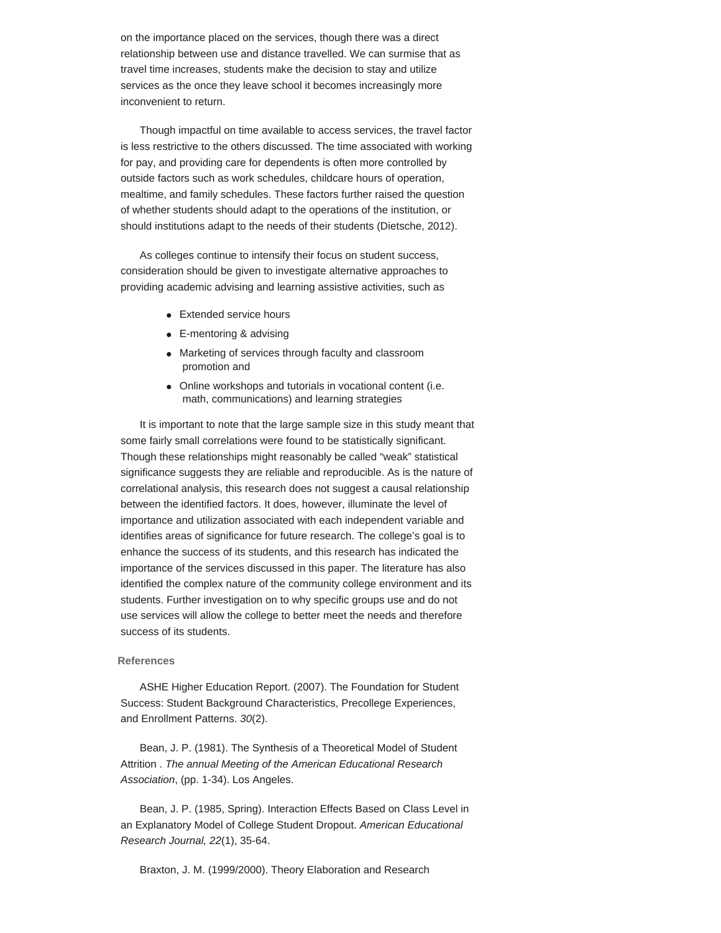on the importance placed on the services, though there was a direct relationship between use and distance travelled. We can surmise that as travel time increases, students make the decision to stay and utilize services as the once they leave school it becomes increasingly more inconvenient to return.

Though impactful on time available to access services, the travel factor is less restrictive to the others discussed. The time associated with working for pay, and providing care for dependents is often more controlled by outside factors such as work schedules, childcare hours of operation, mealtime, and family schedules. These factors further raised the question of whether students should adapt to the operations of the institution, or should institutions adapt to the needs of their students (Dietsche, 2012).

As colleges continue to intensify their focus on student success, consideration should be given to investigate alternative approaches to providing academic advising and learning assistive activities, such as

- Extended service hours
- E-mentoring & advising
- Marketing of services through faculty and classroom promotion and
- Online workshops and tutorials in vocational content (i.e. math, communications) and learning strategies

It is important to note that the large sample size in this study meant that some fairly small correlations were found to be statistically significant. Though these relationships might reasonably be called "weak" statistical significance suggests they are reliable and reproducible. As is the nature of correlational analysis, this research does not suggest a causal relationship between the identified factors. It does, however, illuminate the level of importance and utilization associated with each independent variable and identifies areas of significance for future research. The college's goal is to enhance the success of its students, and this research has indicated the importance of the services discussed in this paper. The literature has also identified the complex nature of the community college environment and its students. Further investigation on to why specific groups use and do not use services will allow the college to better meet the needs and therefore success of its students.

# **References**

ASHE Higher Education Report. (2007). The Foundation for Student Success: Student Background Characteristics, Precollege Experiences, and Enrollment Patterns. *30*(2).

Bean, J. P. (1981). The Synthesis of a Theoretical Model of Student Attrition . *The annual Meeting of the American Educational Research Association*, (pp. 1-34). Los Angeles.

Bean, J. P. (1985, Spring). Interaction Effects Based on Class Level in an Explanatory Model of College Student Dropout. *American Educational Research Journal, 22*(1), 35-64.

Braxton, J. M. (1999/2000). Theory Elaboration and Research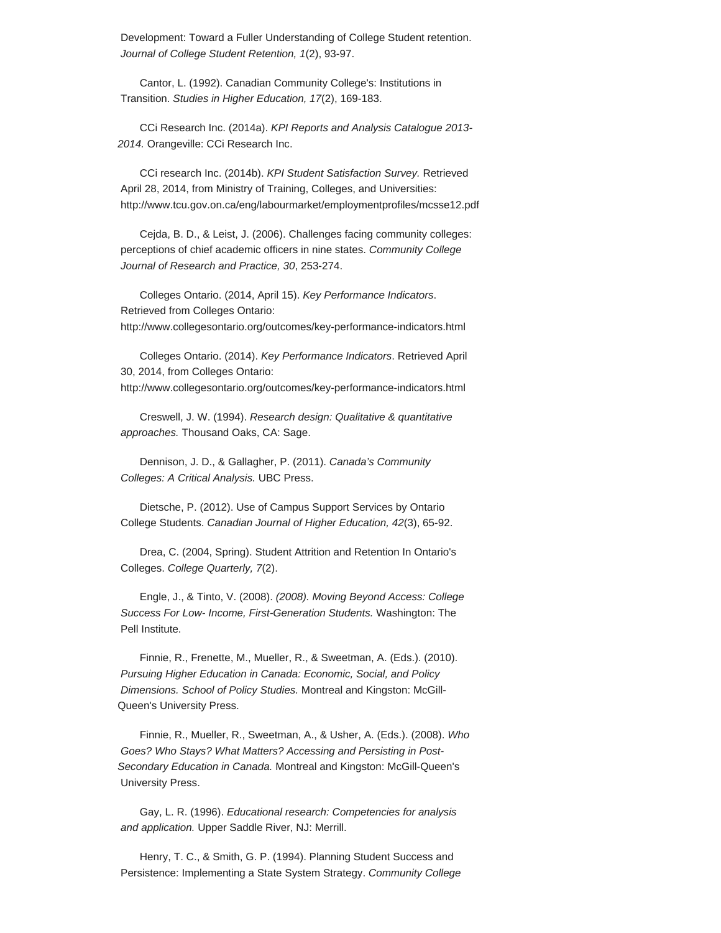Development: Toward a Fuller Understanding of College Student retention. *Journal of College Student Retention, 1*(2), 93-97.

Cantor, L. (1992). Canadian Community College's: Institutions in Transition. *Studies in Higher Education, 17*(2), 169-183.

CCi Research Inc. (2014a). *KPI Reports and Analysis Catalogue 2013- 2014.* Orangeville: CCi Research Inc.

CCi research Inc. (2014b). *KPI Student Satisfaction Survey.* Retrieved April 28, 2014, from Ministry of Training, Colleges, and Universities: http://www.tcu.gov.on.ca/eng/labourmarket/employmentprofiles/mcsse12.pdf

Cejda, B. D., & Leist, J. (2006). Challenges facing community colleges: perceptions of chief academic officers in nine states. *Community College Journal of Research and Practice, 30*, 253-274.

Colleges Ontario. (2014, April 15). *Key Performance Indicators*. Retrieved from Colleges Ontario: http://www.collegesontario.org/outcomes/key-performance-indicators.html

Colleges Ontario. (2014). *Key Performance Indicators*. Retrieved April 30, 2014, from Colleges Ontario:

http://www.collegesontario.org/outcomes/key-performance-indicators.html

Creswell, J. W. (1994). *Research design: Qualitative & quantitative approaches.* Thousand Oaks, CA: Sage.

Dennison, J. D., & Gallagher, P. (2011). *Canada's Community Colleges: A Critical Analysis.* UBC Press.

Dietsche, P. (2012). Use of Campus Support Services by Ontario College Students. *Canadian Journal of Higher Education, 42*(3), 65-92.

Drea, C. (2004, Spring). Student Attrition and Retention In Ontario's Colleges. *College Quarterly, 7*(2).

Engle, J., & Tinto, V. (2008). *(2008). Moving Beyond Access: College Success For Low- Income, First-Generation Students.* Washington: The Pell Institute.

Finnie, R., Frenette, M., Mueller, R., & Sweetman, A. (Eds.). (2010). *Pursuing Higher Education in Canada: Economic, Social, and Policy Dimensions. School of Policy Studies.* Montreal and Kingston: McGill-Queen's University Press.

Finnie, R., Mueller, R., Sweetman, A., & Usher, A. (Eds.). (2008). *Who Goes? Who Stays? What Matters? Accessing and Persisting in Post-Secondary Education in Canada.* Montreal and Kingston: McGill-Queen's University Press.

Gay, L. R. (1996). *Educational research: Competencies for analysis and application.* Upper Saddle River, NJ: Merrill.

Henry, T. C., & Smith, G. P. (1994). Planning Student Success and Persistence: Implementing a State System Strategy. *Community College*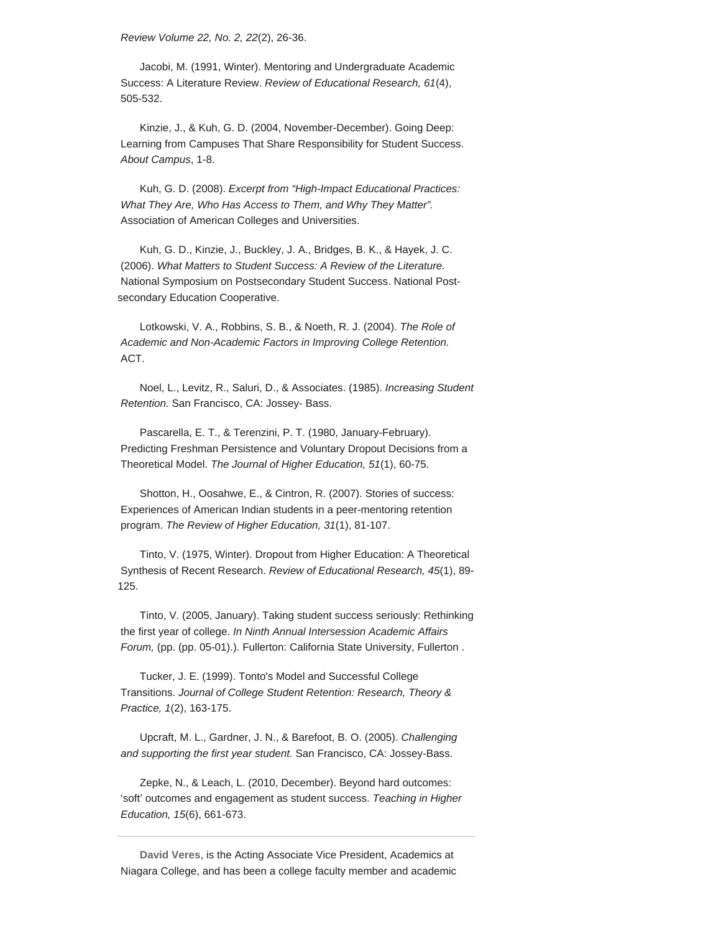*Review Volume 22, No. 2, 22*(2), 26-36.

Jacobi, M. (1991, Winter). Mentoring and Undergraduate Academic Success: A Literature Review. *Review of Educational Research, 61*(4), 505-532.

Kinzie, J., & Kuh, G. D. (2004, November-December). Going Deep: Learning from Campuses That Share Responsibility for Student Success. *About Campus*, 1-8.

Kuh, G. D. (2008). *Excerpt from "High-Impact Educational Practices: What They Are, Who Has Access to Them, and Why They Matter".* Association of American Colleges and Universities.

Kuh, G. D., Kinzie, J., Buckley, J. A., Bridges, B. K., & Hayek, J. C. (2006). *What Matters to Student Success: A Review of the Literature.* National Symposium on Postsecondary Student Success. National Postsecondary Education Cooperative.

Lotkowski, V. A., Robbins, S. B., & Noeth, R. J. (2004). *The Role of Academic and Non-Academic Factors in Improving College Retention.* ACT.

Noel, L., Levitz, R., Saluri, D., & Associates. (1985). *Increasing Student Retention.* San Francisco, CA: Jossey- Bass.

Pascarella, E. T., & Terenzini, P. T. (1980, January-February). Predicting Freshman Persistence and Voluntary Dropout Decisions from a Theoretical Model. *The Journal of Higher Education, 51*(1), 60-75.

Shotton, H., Oosahwe, E., & Cintron, R. (2007). Stories of success: Experiences of American Indian students in a peer-mentoring retention program. *The Review of Higher Education, 31*(1), 81-107.

Tinto, V. (1975, Winter). Dropout from Higher Education: A Theoretical Synthesis of Recent Research. *Review of Educational Research, 45*(1), 89- 125.

Tinto, V. (2005, January). Taking student success seriously: Rethinking the first year of college. *In Ninth Annual Intersession Academic Affairs Forum,* (pp. (pp. 05-01).). Fullerton: California State University, Fullerton .

Tucker, J. E. (1999). Tonto's Model and Successful College Transitions. *Journal of College Student Retention: Research, Theory & Practice, 1*(2), 163-175.

Upcraft, M. L., Gardner, J. N., & Barefoot, B. O. (2005). *Challenging and supporting the first year student.* San Francisco, CA: Jossey-Bass.

Zepke, N., & Leach, L. (2010, December). Beyond hard outcomes: 'soft' outcomes and engagement as student success. *Teaching in Higher Education, 15*(6), 661-673.

**David Veres**, is the Acting Associate Vice President, Academics at Niagara College, and has been a college faculty member and academic